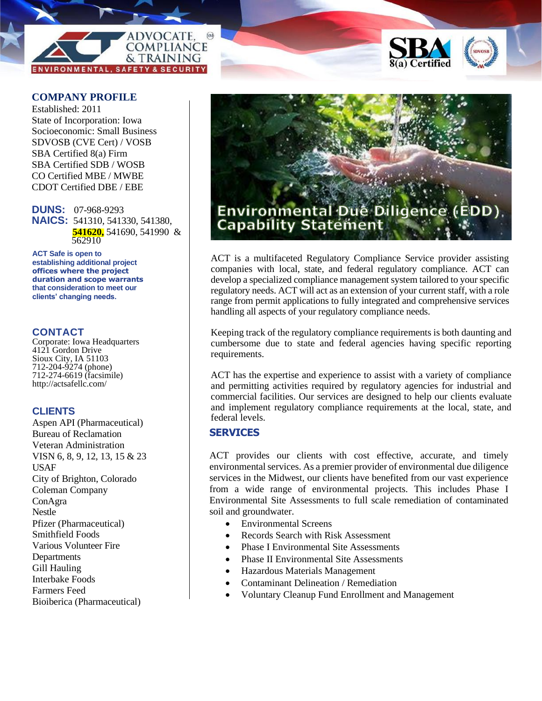



#### **COMPANY PROFILE**

Established: 2011 State of Incorporation: Iowa Socioeconomic: Small Business SDVOSB (CVE Cert) / VOSB SBA Certified 8(a) Firm SBA Certified SDB / WOSB CO Certified MBE / MWBE CDOT Certified DBE / EBE

**DUNS:** 07-968-9293 **NAICS:** 541310, 541330, 541380, **541620,** 541690, 541990 & 562910

**ACT Safe is open to establishing additional project offices where the project duration and scope warrants that consideration to meet our clients' changing needs.**

#### **CONTACT**

Corporate: Iowa Headquarters 4121 Gordon Drive Sioux City, IA 51103 712-204-9274 (phone) 712-274-6619 (facsimile) http://actsafellc.com/

#### **CLIENTS**

Aspen API (Pharmaceutical) Bureau of Reclamation Veteran Administration VISN 6, 8, 9, 12, 13, 15 & 23 USAF City of Brighton, Colorado Coleman Company ConAgra Nestle Pfizer (Pharmaceutical) Smithfield Foods Various Volunteer Fire Departments Gill Hauling Interbake Foods Farmers Feed Bioiberica (Pharmaceutical)



ACT is a multifaceted Regulatory Compliance Service provider assisting companies with local, state, and federal regulatory compliance. ACT can develop a specialized compliance management system tailored to your specific regulatory needs. ACT will act as an extension of your current staff, with a role range from permit applications to fully integrated and comprehensive services handling all aspects of your regulatory compliance needs.

Keeping track of the regulatory compliance requirements is both daunting and cumbersome due to state and federal agencies having specific reporting requirements.

ACT has the expertise and experience to assist with a variety of compliance and permitting activities required by regulatory agencies for industrial and commercial facilities. Our services are designed to help our clients evaluate and implement regulatory compliance requirements at the local, state, and federal levels.

#### **SERVICES**

ACT provides our clients with cost effective, accurate, and timely environmental services. As a premier provider of environmental due diligence services in the Midwest, our clients have benefited from our vast experience from a wide range of environmental projects. This includes Phase I Environmental Site Assessments to full scale remediation of contaminated soil and groundwater.

- Environmental Screens
- Records Search with Risk Assessment
- Phase I Environmental Site Assessments
- Phase II Environmental Site Assessments
- Hazardous Materials Management
- Contaminant Delineation / Remediation
- Voluntary Cleanup Fund Enrollment and Management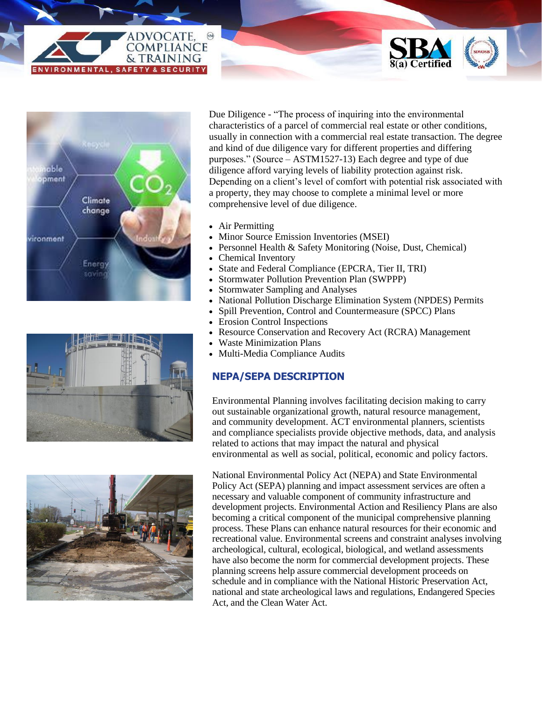









Due Diligence - "The process of inquiring into the environmental characteristics of a parcel of commercial real estate or other conditions, usually in connection with a commercial real estate transaction. The degree and kind of due diligence vary for different properties and differing purposes." (Source – ASTM1527-13) Each degree and type of due diligence afford varying levels of liability protection against risk. Depending on a client's level of comfort with potential risk associated with a property, they may choose to complete a minimal level or more comprehensive level of due diligence.

- Air Permitting
- Minor Source Emission Inventories (MSEI)
- Personnel Health & Safety Monitoring (Noise, Dust, Chemical)
- Chemical Inventory
- State and Federal Compliance (EPCRA, Tier II, TRI)
- Stormwater Pollution Prevention Plan (SWPPP)
- Stormwater Sampling and Analyses
- National Pollution Discharge Elimination System (NPDES) Permits
- Spill Prevention, Control and Countermeasure (SPCC) Plans
- Erosion Control Inspections
- Resource Conservation and Recovery Act (RCRA) Management
- Waste Minimization Plans
- Multi-Media Compliance Audits

## **NEPA/SEPA DESCRIPTION**

Environmental Planning involves facilitating decision making to carry out sustainable organizational growth, natural resource management, and community development. ACT environmental planners, scientists and compliance specialists provide objective methods, data, and analysis related to actions that may impact the natural and physical environmental as well as social, political, economic and policy factors.

National Environmental Policy Act (NEPA) and State Environmental Policy Act (SEPA) planning and impact assessment services are often a necessary and valuable component of community infrastructure and development projects. Environmental Action and Resiliency Plans are also becoming a critical component of the municipal comprehensive planning process. These Plans can enhance natural resources for their economic and recreational value. Environmental screens and constraint analyses involving archeological, cultural, ecological, biological, and wetland assessments have also become the norm for commercial development projects. These planning screens help assure commercial development proceeds on schedule and in compliance with the National Historic Preservation Act, national and state archeological laws and regulations, Endangered Species Act, and the Clean Water Act.